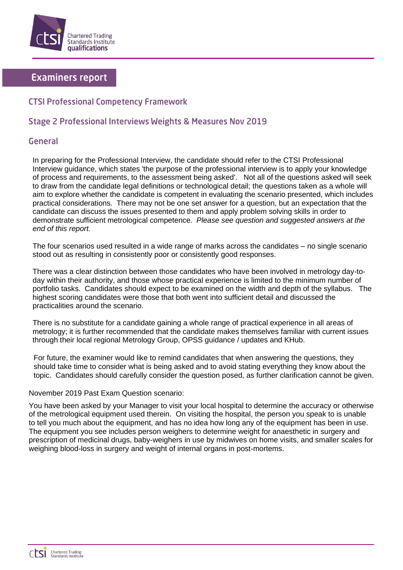

# **Examiners report**

## **CTSI Professional Competency Framework**

## Stage 2 Professional Interviews Weights & Measures Nov 2019

### General

In preparing for the Professional Interview, the candidate should refer to the CTSI Professional Interview guidance, which states 'the purpose of the professional interview is to apply your knowledge of process and requirements, to the assessment being asked'. Not all of the questions asked will seek to draw from the candidate legal definitions or technological detail; the questions taken as a whole will aim to explore whether the candidate is competent in evaluating the scenario presented, which includes practical considerations. There may not be one set answer for a question, but an expectation that the candidate can discuss the issues presented to them and apply problem solving skills in order to demonstrate sufficient metrological competence. *Please see question and suggested answers at the end of this report.*

The four scenarios used resulted in a wide range of marks across the candidates – no single scenario stood out as resulting in consistently poor or consistently good responses.

There was a clear distinction between those candidates who have been involved in metrology day-today within their authority, and those whose practical experience is limited to the minimum number of portfolio tasks. Candidates should expect to be examined on the width and depth of the syllabus. The highest scoring candidates were those that both went into sufficient detail and discussed the practicalities around the scenario.

There is no substitute for a candidate gaining a whole range of practical experience in all areas of metrology; it is further recommended that the candidate makes themselves familiar with current issues through their local regional Metrology Group, OPSS guidance / updates and KHub.

For future, the examiner would like to remind candidates that when answering the questions, they should take time to consider what is being asked and to avoid stating everything they know about the topic. Candidates should carefully consider the question posed, as further clarification cannot be given.

#### November 2019 Past Exam Question scenario:

You have been asked by your Manager to visit your local hospital to determine the accuracy or otherwise of the metrological equipment used therein. On visiting the hospital, the person you speak to is unable to tell you much about the equipment, and has no idea how long any of the equipment has been in use. The equipment you see includes person weighers to determine weight for anaesthetic in surgery and prescription of medicinal drugs, baby-weighers in use by midwives on home visits, and smaller scales for weighing blood-loss in surgery and weight of internal organs in post-mortems.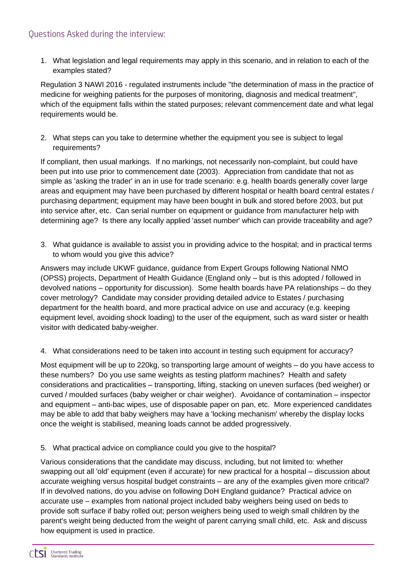# Questions Asked during the interview:

1. What legislation and legal requirements may apply in this scenario, and in relation to each of the examples stated?

Regulation 3 NAWI 2016 - regulated instruments include "the determination of mass in the practice of medicine for weighing patients for the purposes of monitoring, diagnosis and medical treatment", which of the equipment falls within the stated purposes; relevant commencement date and what legal requirements would be.

2. What steps can you take to determine whether the equipment you see is subject to legal requirements?

If compliant, then usual markings. If no markings, not necessarily non-complaint, but could have been put into use prior to commencement date (2003). Appreciation from candidate that not as simple as 'asking the trader' in an in use for trade scenario: e.g. health boards generally cover large areas and equipment may have been purchased by different hospital or health board central estates / purchasing department; equipment may have been bought in bulk and stored before 2003, but put into service after, etc. Can serial number on equipment or guidance from manufacturer help with determining age? Is there any locally applied 'asset number' which can provide traceability and age?

3. What guidance is available to assist you in providing advice to the hospital; and in practical terms to whom would you give this advice?

Answers may include UKWF guidance, guidance from Expert Groups following National NMO (OPSS) projects, Department of Health Guidance (England only – but is this adopted / followed in devolved nations – opportunity for discussion). Some health boards have PA relationships – do they cover metrology? Candidate may consider providing detailed advice to Estates / purchasing department for the health board, and more practical advice on use and accuracy (e.g. keeping equipment level, avoiding shock loading) to the user of the equipment, such as ward sister or health visitor with dedicated baby-weigher.

4. What considerations need to be taken into account in testing such equipment for accuracy?

Most equipment will be up to 220kg, so transporting large amount of weights – do you have access to these numbers? Do you use same weights as testing platform machines? Health and safety considerations and practicalities – transporting, lifting, stacking on uneven surfaces (bed weigher) or curved / moulded surfaces (baby weigher or chair weigher). Avoidance of contamination – inspector and equipment – anti-bac wipes, use of disposable paper on pan, etc. More experienced candidates may be able to add that baby weighers may have a 'locking mechanism' whereby the display locks once the weight is stabilised, meaning loads cannot be added progressively.

5. What practical advice on compliance could you give to the hospital?

Various considerations that the candidate may discuss, including, but not limited to: whether swapping out all 'old' equipment (even if accurate) for new practical for a hospital – discussion about accurate weighing versus hospital budget constraints – are any of the examples given more critical? If in devolved nations, do you advise on following DoH England guidance? Practical advice on accurate use – examples from national project included baby weighers being used on beds to provide soft surface if baby rolled out; person weighers being used to weigh small children by the parent's weight being deducted from the weight of parent carrying small child, etc. Ask and discuss how equipment is used in practice.